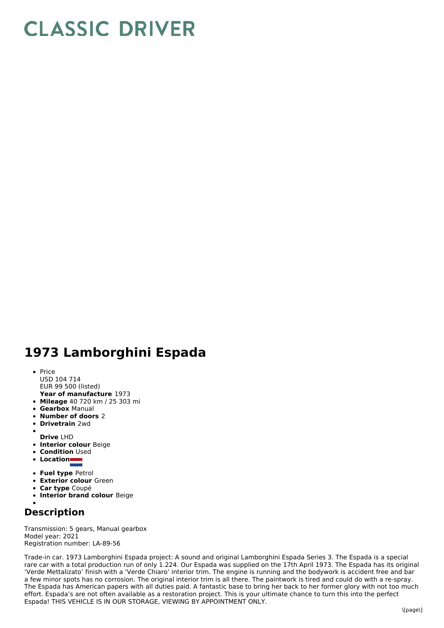## **CLASSIC DRIVER**

## **1973 Lamborghini Espada**

- **Year of manufacture** 1973 • Price USD 104 714 EUR 99 500 (listed)
- **Mileage** 40 720 km / 25 303 mi
- **Gearbox** Manual
- **Number of doors** 2
- **Drivetrain** 2wd

**Drive** LHD

- **Interior colour** Beige
- **Condition** Used  $\bullet$
- **Location**
- 
- **Fuel type** Petrol
- **Exterior colour** Green
- **Car type** Coupé
- **Interior brand colour** Beige

## **Description**

Transmission: 5 gears, Manual gearbox Model year: 2021 Registration number: LA-89-56

Trade-in car. 1973 Lamborghini Espada project: A sound and original Lamborghini Espada Series 3. The Espada is a special rare car with a total production run of only 1.224. Our Espada was supplied on the 17th April 1973. The Espada has its original 'Verde Mettalizato' finish with a 'Verde Chiaro' interior trim. The engine is running and the bodywork is accident free and bar a few minor spots has no corrosion. The original interior trim is all there. The paintwork is tired and could do with a re-spray. The Espada has American papers with all duties paid. A fantastic base to bring her back to her former glory with not too much effort. Espada's are not often available as a restoration project. This is your ultimate chance to turn this into the perfect Espada! THIS VEHICLE IS IN OUR STORAGE, VIEWING BY APPOINTMENT ONLY.